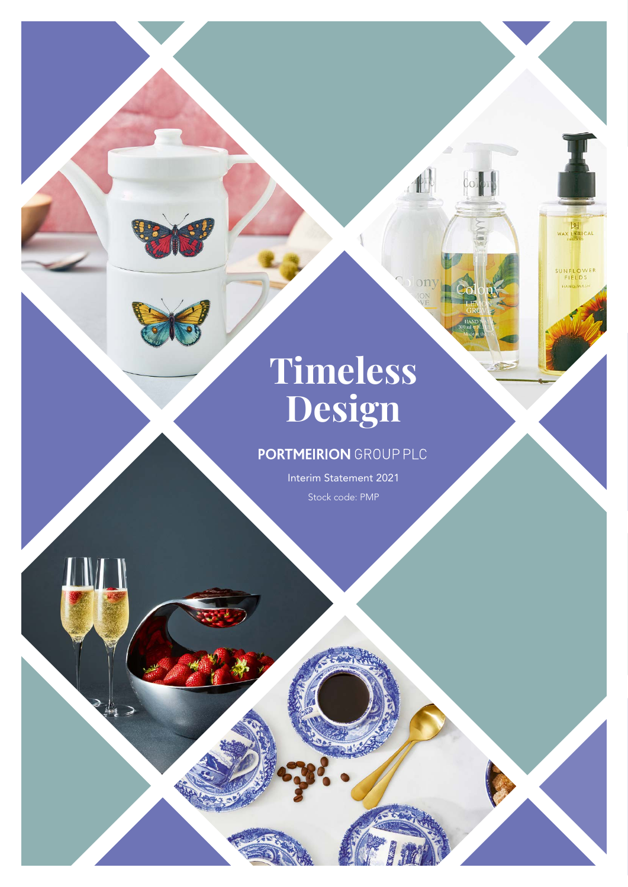# **Timeless Design**

 $\overline{01}$ 

WAX LYRICAL

SUNFLOWER<br>FIELDS

# **PORTMEIRION GROUP PLC**

Interim Statement 2021 Stock code: PMP

THE T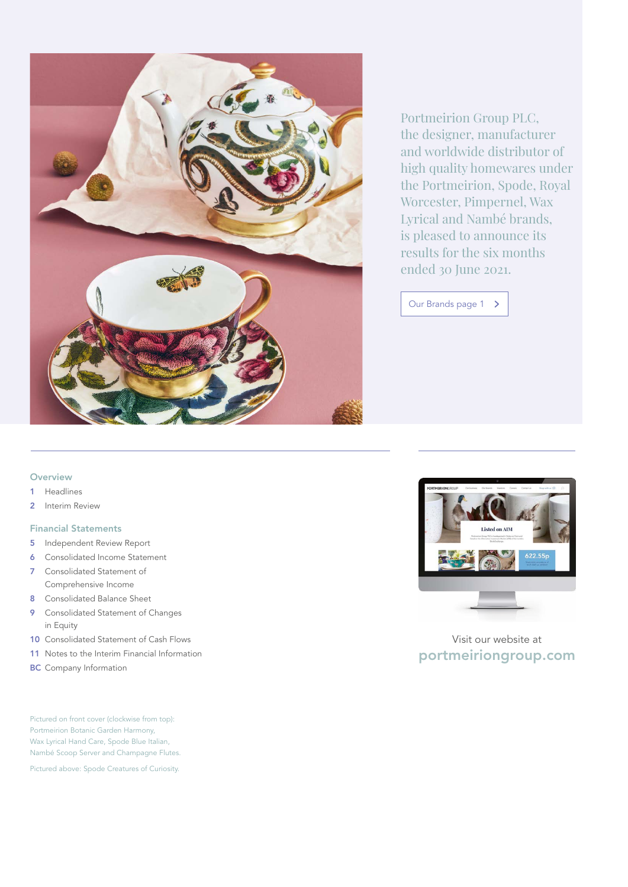

Portmeirion Group PLC, the designer, manufacturer and worldwide distributor of high quality homewares under the Portmeirion, Spode, Royal Worcester, Pimpernel, Wax Lyrical and Nambé brands, is pleased to announce its results for the six months ended 30 June 2021.

Our Brands [page 1](#page-2-0) >

### **Overview**

- 1 [Headlines](#page-2-0)
- 2 [Interim Review](#page-3-0)

### Financial Statements

- 5 [Independent Review Report](#page-6-0)
- 6 [Consolidated Income Statement](#page-7-0)
- 7 [Consolidated Statement of](#page-8-0)  [Comprehensive Income](#page-8-0)
- 8 [Consolidated Balance Sheet](#page-9-0)
- 9 [Consolidated Statement of Changes](#page-10-0)  [in Equity](#page-10-0)
- 10 [Consolidated Statement of Cash Flows](#page-11-0)
- 11 [Notes to the Interim Financial Information](#page-12-0)
- **BC** [Company Information](#page-15-0)

Pictured on front cover (clockwise from top): Portmeirion Botanic Garden Harmony, Wax Lyrical Hand Care, Spode Blue Italian, Nambé Scoop Server and Champagne Flutes.

Pictured above: Spode Creatures of Curiosity.



Visit our website at [portmeiriongroup.com](https://www.portmeiriongroup.com/)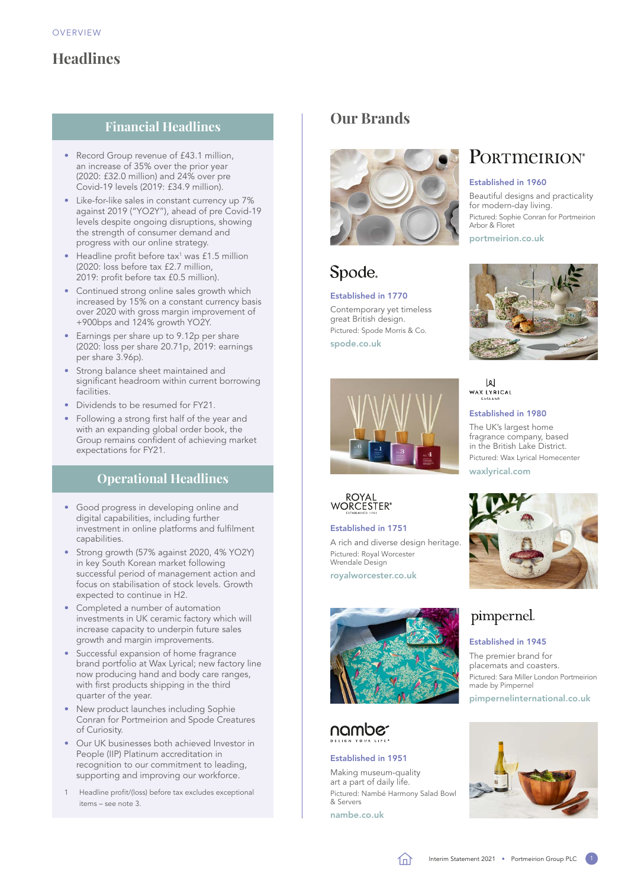# <span id="page-2-0"></span>**Headlines**

### **Financial Headlines**

- Record Group revenue of £43.1 million, an increase of 35% over the prior year (2020: £32.0 million) and 24% over pre Covid-19 levels (2019: £34.9 million).
- Like-for-like sales in constant currency up 7% against 2019 ("YO2Y"), ahead of pre Covid-19 levels despite ongoing disruptions, showing the strength of consumer demand and progress with our online strategy.
- $\bullet$  Headline profit before tax<sup>1</sup> was £1.5 million (2020: loss before tax £2.7 million, 2019: profit before tax £0.5 million).
- Continued strong online sales growth which increased by 15% on a constant currency basis over 2020 with gross margin improvement of +900bps and 124% growth YO2Y.
- Earnings per share up to 9.12p per share (2020: loss per share 20.71p, 2019: earnings per share 3.96p).
- Strong balance sheet maintained and significant headroom within current borrowing facilities.
- Dividends to be resumed for FY21.
- Following a strong first half of the year and with an expanding global order book, the Group remains confident of achieving market expectations for FY21.

### **Operational Headlines**

- Good progress in developing online and digital capabilities, including further investment in online platforms and fulfilment capabilities.
- Strong growth (57% against 2020, 4% YO2Y) in key South Korean market following successful period of management action and focus on stabilisation of stock levels. Growth expected to continue in H2.
- Completed a number of automation investments in UK ceramic factory which will increase capacity to underpin future sales growth and margin improvements.
- Successful expansion of home fragrance brand portfolio at Wax Lyrical; new factory line now producing hand and body care ranges, with first products shipping in the third quarter of the year.
- New product launches including Sophie Conran for Portmeirion and Spode Creatures of Curiosity.
- Our UK businesses both achieved Investor in People (IIP) Platinum accreditation in recognition to our commitment to leading, supporting and improving our workforce.
- Headline profit/(loss) before tax excludes exceptional items – see note 3.

# **Our Brands**



# Spode.

Established in 1770 Contemporary yet timeless great British design. Pictured: Spode Morris & Co. [spode.co.uk](https://www.spode.co.uk/)



### Established in 1980

 $|2|$ 

Established in 1960

for modern-day living.

Arbor & Floret [portmeirion.co.uk](https://www.portmeirion.co.uk/)

Beautiful designs and practicality

PORTMEIRION®

Pictured: Sophie Conran for Portmeirion

The UK's largest home fragrance company, based in the British Lake District. Pictured: Wax Lyrical Homecenter [waxlyrical.com](https://www.waxlyrical.com/)



A rich and diverse design heritage. Pictured: Royal Worcester Wrendale Design

[royalworcester.co.uk](https://www.royalworcester.co.uk/)



# nambe

### Established in 1951

Making museum-quality art a part of daily life. Pictured: Nambé Harmony Salad Bowl & Servers

[nambe.co.uk](https://www.nambe.co.uk/)



# pimpernel.

### Established in 1945

The premier brand for placemats and coasters. Pictured: Sara Miller London Portmeirion made by Pimpernel [pimpernelinternational.co.uk](https://www.pimpernelinternational.co.uk/)





Interim Statement 2021 • Portmeirion Group PLC 1





ROYAL<br>WORCESTER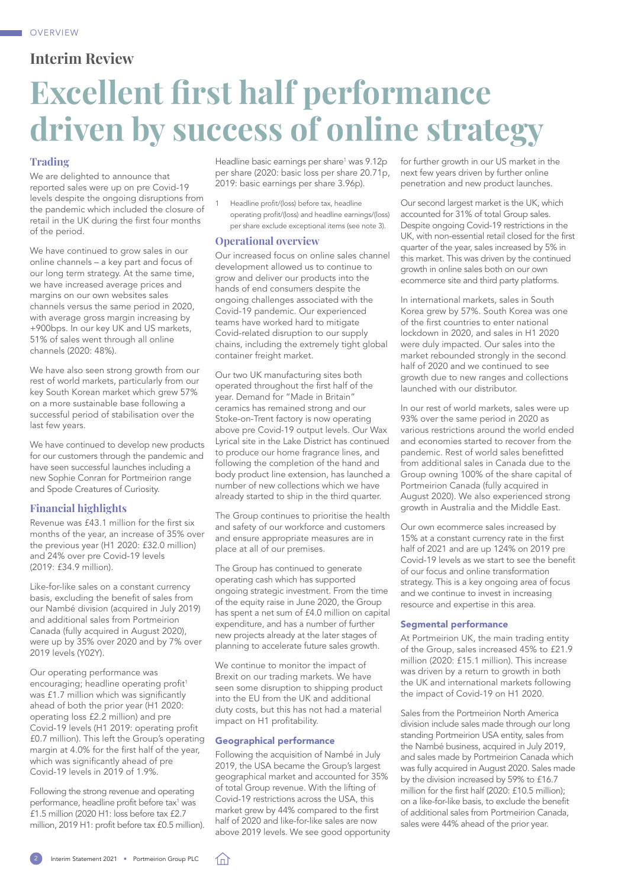<span id="page-3-0"></span>

# **Interim Review**

# **Excellent first half performance driven by success of online strategy**

### **Trading**

We are delighted to announce that reported sales were up on pre Covid-19 levels despite the ongoing disruptions from the pandemic which included the closure of retail in the UK during the first four months of the period.

We have continued to grow sales in our online channels – a key part and focus of our long term strategy. At the same time, we have increased average prices and margins on our own websites sales channels versus the same period in 2020, with average gross margin increasing by +900bps. In our key UK and US markets, 51% of sales went through all online channels (2020: 48%).

We have also seen strong growth from our rest of world markets, particularly from our key South Korean market which grew 57% on a more sustainable base following a successful period of stabilisation over the last few years.

We have continued to develop new products for our customers through the pandemic and have seen successful launches including a new Sophie Conran for Portmeirion range and Spode Creatures of Curiosity.

### **Financial highlights**

Revenue was £43.1 million for the first six months of the year, an increase of 35% over the previous year (H1 2020: £32.0 million) and 24% over pre Covid-19 levels (2019: £34.9 million).

Like-for-like sales on a constant currency basis, excluding the benefit of sales from our Nambé division (acquired in July 2019) and additional sales from Portmeirion Canada (fully acquired in August 2020), were up by 35% over 2020 and by 7% over 2019 levels (Y02Y).

Our operating performance was encouraging; headline operating profit<sup>1</sup> was £1.7 million which was significantly ahead of both the prior year (H1 2020: operating loss £2.2 million) and pre Covid-19 levels (H1 2019: operating profit £0.7 million). This left the Group's operating margin at 4.0% for the first half of the year, which was significantly ahead of pre Covid-19 levels in 2019 of 1.9%.

Following the strong revenue and operating performance, headline profit before tax<sup>1</sup> was £1.5 million (2020 H1: loss before tax £2.7 million, 2019 H1: profit before tax £0.5 million).

Headline basic earnings per share<sup>1</sup> was 9.12p per share (2020: basic loss per share 20.71p, 2019: basic earnings per share 3.96p).

Headline profit/(loss) before tax, headline operating profit/(loss) and headline earnings/(loss) per share exclude exceptional items (see [note 3\)](#page-12-0).

### **Operational overview**

Our increased focus on online sales channel development allowed us to continue to grow and deliver our products into the hands of end consumers despite the ongoing challenges associated with the Covid-19 pandemic. Our experienced teams have worked hard to mitigate Covid-related disruption to our supply chains, including the extremely tight global container freight market.

Our two UK manufacturing sites both operated throughout the first half of the year. Demand for "Made in Britain" ceramics has remained strong and our Stoke-on-Trent factory is now operating above pre Covid-19 output levels. Our Wax Lyrical site in the Lake District has continued to produce our home fragrance lines, and following the completion of the hand and body product line extension, has launched a number of new collections which we have already started to ship in the third quarter.

The Group continues to prioritise the health and safety of our workforce and customers and ensure appropriate measures are in place at all of our premises.

The Group has continued to generate operating cash which has supported ongoing strategic investment. From the time of the equity raise in June 2020, the Group has spent a net sum of £4.0 million on capital expenditure, and has a number of further new projects already at the later stages of planning to accelerate future sales growth.

We continue to monitor the impact of Brexit on our trading markets. We have seen some disruption to shipping product into the EU from the UK and additional duty costs, but this has not had a material impact on H1 profitability.

### Geographical performance

Following the acquisition of Nambé in July 2019, the USA became the Group's largest geographical market and accounted for 35% of total Group revenue. With the lifting of Covid-19 restrictions across the USA, this market grew by 44% compared to the first half of 2020 and like-for-like sales are now above 2019 levels. We see good opportunity for further growth in our US market in the next few years driven by further online penetration and new product launches.

Our second largest market is the UK, which accounted for 31% of total Group sales. Despite ongoing Covid-19 restrictions in the UK, with non-essential retail closed for the first quarter of the year, sales increased by 5% in this market. This was driven by the continued growth in online sales both on our own ecommerce site and third party platforms.

In international markets, sales in South Korea grew by 57%. South Korea was one of the first countries to enter national lockdown in 2020, and sales in H1 2020 were duly impacted. Our sales into the market rebounded strongly in the second half of 2020 and we continued to see growth due to new ranges and collections launched with our distributor.

In our rest of world markets, sales were up 93% over the same period in 2020 as various restrictions around the world ended and economies started to recover from the pandemic. Rest of world sales benefitted from additional sales in Canada due to the Group owning 100% of the share capital of Portmeirion Canada (fully acquired in August 2020). We also experienced strong growth in Australia and the Middle East.

Our own ecommerce sales increased by 15% at a constant currency rate in the first half of 2021 and are up 124% on 2019 pre Covid-19 levels as we start to see the benefit of our focus and online transformation strategy. This is a key ongoing area of focus and we continue to invest in increasing resource and expertise in this area.

### Segmental performance

At Portmeirion UK, the main trading entity of the Group, sales increased 45% to £21.9 million (2020: £15.1 million). This increase was driven by a return to growth in both the UK and international markets following the impact of Covid-19 on H1 2020.

Sales from the Portmeirion North America division include sales made through our long standing Portmeirion USA entity, sales from the Nambé business, acquired in July 2019, and sales made by Portmeirion Canada which was fully acquired in August 2020. Sales made by the division increased by 59% to £16.7 million for the first half (2020: £10.5 million); on a like-for-like basis, to exclude the benefit of additional sales from Portmeirion Canada, sales were 44% ahead of the prior year.

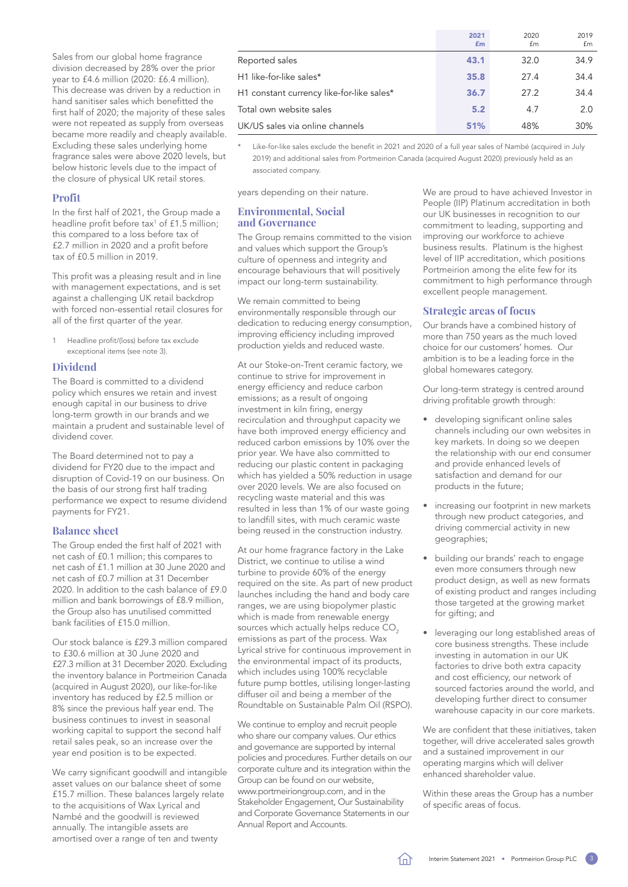Sales from our global home fragrance division decreased by 28% over the prior year to £4.6 million (2020: £6.4 million). .<br>This decrease was driven by a reduction in hand sanitiser sales which benefitted the first half of 2020; the majority of these sales were not repeated as supply from overseas became more readily and cheaply available. Excluding these sales underlying home fragrance sales were above 2020 levels, but below historic levels due to the impact of the closure of physical UK retail stores.

### **Profit**

In the first half of 2021, the Group made a headline profit before tax<sup>1</sup> of £1.5 million; this compared to a loss before tax of £2.7 million in 2020 and a profit before tax of £0.5 million in 2019.

This profit was a pleasing result and in line with management expectations, and is set against a challenging UK retail backdrop with forced non-essential retail closures for all of the first quarter of the year.

Headline profit/(loss) before tax exclude exceptional items (see [note 3](#page-13-0)).

### **Dividend**

The Board is committed to a dividend policy which ensures we retain and invest enough capital in our business to drive long-term growth in our brands and we maintain a prudent and sustainable level of dividend cover.

The Board determined not to pay a dividend for FY20 due to the impact and disruption of Covid-19 on our business. On the basis of our strong first half trading performance we expect to resume dividend payments for FY21.

### **Balance sheet**

The Group ended the first half of 2021 with net cash of £0.1 million; this compares to net cash of £1.1 million at 30 June 2020 and net cash of £0.7 million at 31 December 2020. In addition to the cash balance of £9.0 million and bank borrowings of £8.9 million, the Group also has unutilised committed bank facilities of £15.0 million.

Our stock balance is £29.3 million compared to £30.6 million at 30 June 2020 and £27.3 million at 31 December 2020. Excluding the inventory balance in Portmeirion Canada (acquired in August 2020), our like-for-like inventory has reduced by £2.5 million or 8% since the previous half year end. The business continues to invest in seasonal working capital to support the second half retail sales peak, so an increase over the year end position is to be expected.

We carry significant goodwill and intangible asset values on our balance sheet of some £15.7 million. These balances largely relate to the acquisitions of Wax Lyrical and Nambé and the goodwill is reviewed annually. The intangible assets are amortised over a range of ten and twenty

|                                           | 2021<br>£m | 2020<br>£m | 2019<br>£m |
|-------------------------------------------|------------|------------|------------|
| Reported sales                            | 43.1       | 32.0       | 34.9       |
| H1 like-for-like sales*                   | 35.8       | 27.4       | 34.4       |
| H1 constant currency like-for-like sales* | 36.7       | 27.2       | 34.4       |
| Total own website sales                   | 5.2        | 4.7        | 2.0        |
| UK/US sales via online channels           | 51%        | 48%        | 30%        |

Like-for-like sales exclude the benefit in 2021 and 2020 of a full year sales of Nambé (acquired in July 2019) and additional sales from Portmeirion Canada (acquired August 2020) previously held as an associated company.

years depending on their nature.

### **Environmental, Social and Governance**

The Group remains committed to the vision and values which support the Group's culture of openness and integrity and encourage behaviours that will positively impact our long-term sustainability.

We remain committed to being environmentally responsible through our dedication to reducing energy consumption, improving efficiency including improved production yields and reduced waste.

At our Stoke-on-Trent ceramic factory, we continue to strive for improvement in energy efficiency and reduce carbon emissions; as a result of ongoing investment in kiln firing, energy recirculation and throughput capacity we have both improved energy efficiency and reduced carbon emissions by 10% over the prior year. We have also committed to reducing our plastic content in packaging which has yielded a 50% reduction in usage over 2020 levels. We are also focused on recycling waste material and this was resulted in less than 1% of our waste going to landfill sites, with much ceramic waste being reused in the construction industry.

At our home fragrance factory in the Lake District, we continue to utilise a wind turbine to provide 60% of the energy required on the site. As part of new product launches including the hand and body care ranges, we are using biopolymer plastic which is made from renewable energy sources which actually helps reduce CO<sub>2</sub> emissions as part of the process. Wax Lyrical strive for continuous improvement in the environmental impact of its products, which includes using 100% recyclable future pump bottles, utilising longer-lasting diffuser oil and being a member of the Roundtable on Sustainable Palm Oil (RSPO).

We continue to employ and recruit people who share our company values. Our ethics and governance are supported by internal policies and procedures. Further details on our corporate culture and its integration within the Group can be found on our website, [www.portmeiriongroup.com,](http://www.portmeiriongroup.com) and in the Stakeholder Engagement, Our Sustainability and Corporate Governance Statements in our Annual Report and Accounts.

We are proud to have achieved Investor in People (IIP) Platinum accreditation in both our UK businesses in recognition to our commitment to leading, supporting and improving our workforce to achieve business results. Platinum is the highest level of IIP accreditation, which positions Portmeirion among the elite few for its commitment to high performance through excellent people management.

### **Strategic areas of focus**

Our brands have a combined history of more than 750 years as the much loved choice for our customers' homes. Our ambition is to be a leading force in the global homewares category.

Our long-term strategy is centred around driving profitable growth through:

- developing significant online sales channels including our own websites in key markets. In doing so we deepen the relationship with our end consumer and provide enhanced levels of satisfaction and demand for our products in the future;
- increasing our footprint in new markets through new product categories, and driving commercial activity in new geographies;
- building our brands' reach to engage even more consumers through new product design, as well as new formats of existing product and ranges including those targeted at the growing market for gifting; and
- leveraging our long established areas of core business strengths. These include investing in automation in our UK factories to drive both extra capacity and cost efficiency, our network of sourced factories around the world, and developing further direct to consumer warehouse capacity in our core markets.

We are confident that these initiatives, taken together, will drive accelerated sales growth and a sustained improvement in our operating margins which will deliver enhanced shareholder value.

Within these areas the Group has a number of specific areas of focus.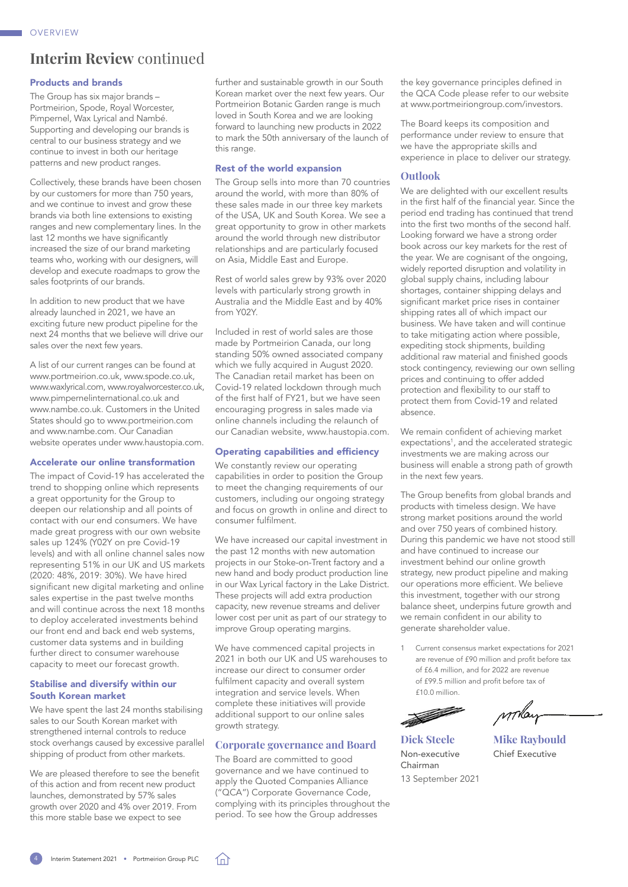## **Interim Review** continued

### Products and brands

The Group has six major brands – Portmeirion, Spode, Royal Worcester, Pimpernel, Wax Lyrical and Nambé. Supporting and developing our brands is central to our business strategy and we continue to invest in both our heritage patterns and new product ranges.

Collectively, these brands have been chosen by our customers for more than 750 years, and we continue to invest and grow these brands via both line extensions to existing ranges and new complementary lines. In the last 12 months we have significantly increased the size of our brand marketing teams who, working with our designers, will develop and execute roadmaps to grow the sales footprints of our brands.

In addition to new product that we have already launched in 2021, we have an exciting future new product pipeline for the next 24 months that we believe will drive our sales over the next few years.

A list of our current ranges can be found at [www.portmeirion.co.uk](http://www.portmeirion.co.uk), [www.spode.co.uk](http://www.spode.co.uk), [www.waxlyrical.com,](http://www.waxlyrical.com) [www.royalworcester.co.uk,](http://www.royalworcester.co.uk) [www.pimpernelinternational.co.uk](http://www.pimpernelinternational.co.uk) and [www.nambe.co.uk.](http://www.nambe.co.uk) Customers in the United States should go to [www.portmeirion.com](http://www.portmeirion.com) and [www.nambe.com](http://www.nambe.com). Our Canadian website operates under [www.haustopia.com](http://www.haustopia.com).

### Accelerate our online transformation

The impact of Covid-19 has accelerated the trend to shopping online which represents a great opportunity for the Group to deepen our relationship and all points of contact with our end consumers. We have made great progress with our own website sales up 124% (Y02Y on pre Covid-19 levels) and with all online channel sales now representing 51% in our UK and US markets (2020: 48%, 2019: 30%). We have hired significant new digital marketing and online sales expertise in the past twelve months and will continue across the next 18 months to deploy accelerated investments behind our front end and back end web systems, customer data systems and in building further direct to consumer warehouse capacity to meet our forecast growth.

### Stabilise and diversify within our South Korean market

We have spent the last 24 months stabilising sales to our South Korean market with strengthened internal controls to reduce stock overhangs caused by excessive parallel shipping of product from other markets.

We are pleased therefore to see the benefit of this action and from recent new product launches, demonstrated by 57% sales growth over 2020 and 4% over 2019. From this more stable base we expect to see

further and sustainable growth in our South Korean market over the next few years. Our Portmeirion Botanic Garden range is much loved in South Korea and we are looking forward to launching new products in 2022 to mark the 50th anniversary of the launch of this range.

### Rest of the world expansion

The Group sells into more than 70 countries around the world, with more than 80% of these sales made in our three key markets of the USA, UK and South Korea. We see a great opportunity to grow in other markets around the world through new distributor relationships and are particularly focused on Asia, Middle East and Europe.

Rest of world sales grew by 93% over 2020 levels with particularly strong growth in Australia and the Middle East and by 40% from Y02Y.

Included in rest of world sales are those made by Portmeirion Canada, our long standing 50% owned associated company which we fully acquired in August 2020. The Canadian retail market has been on Covid-19 related lockdown through much of the first half of FY21, but we have seen encouraging progress in sales made via online channels including the relaunch of our Canadian website, [www.haustopia.com](http://www.haustopia.com).

### Operating capabilities and efficiency

We constantly review our operating capabilities in order to position the Group to meet the changing requirements of our customers, including our ongoing strategy and focus on growth in online and direct to consumer fulfilment.

We have increased our capital investment in the past 12 months with new automation projects in our Stoke-on-Trent factory and a new hand and body product production line in our Wax Lyrical factory in the Lake District. These projects will add extra production capacity, new revenue streams and deliver lower cost per unit as part of our strategy to improve Group operating margins.

We have commenced capital projects in 2021 in both our UK and US warehouses to increase our direct to consumer order fulfilment capacity and overall system integration and service levels. When complete these initiatives will provide additional support to our online sales growth strategy.

### **Corporate governance and Board**

The Board are committed to good governance and we have continued to apply the Quoted Companies Alliance ("QCA") Corporate Governance Code, complying with its principles throughout the period. To see how the Group addresses

the key governance principles defined in the QCA Code please refer to our website at [www.portmeiriongroup.com/investors.](http://www.portmeiriongroup.com/investors)

The Board keeps its composition and performance under review to ensure that we have the appropriate skills and experience in place to deliver our strategy.

### **Outlook**

We are delighted with our excellent results in the first half of the financial year. Since the period end trading has continued that trend into the first two months of the second half. Looking forward we have a strong order book across our key markets for the rest of the year. We are cognisant of the ongoing, widely reported disruption and volatility in global supply chains, including labour shortages, container shipping delays and significant market price rises in container shipping rates all of which impact our business. We have taken and will continue to take mitigating action where possible, expediting stock shipments, building additional raw material and finished goods stock contingency, reviewing our own selling prices and continuing to offer added protection and flexibility to our staff to protect them from Covid-19 and related absence.

We remain confident of achieving market expectations<sup>1</sup>, and the accelerated strategic investments we are making across our business will enable a strong path of growth in the next few years.

The Group benefits from global brands and products with timeless design. We have strong market positions around the world and over 750 years of combined history. During this pandemic we have not stood still and have continued to increase our investment behind our online growth strategy, new product pipeline and making our operations more efficient. We believe this investment, together with our strong balance sheet, underpins future growth and we remain confident in our ability to generate shareholder value.

1 Current consensus market expectations for 2021 are revenue of £90 million and profit before tax of £6.4 million, and for 2022 are revenue of £99.5 million and profit before tax of £10.0 million.

<u> The Contract of the Contract of the Contract of the Contract of the Contract of the Contract of the Contract of the Contract of the Contract of the Contract of the Contract of the Contract of the Contract of the Contract</u>

Non-executive Chief Executive Chairman 13 September 2021

winter

**Dick Steele Mike Raybould** 

Interim Statement 2021 • Portmeirion Group PLC

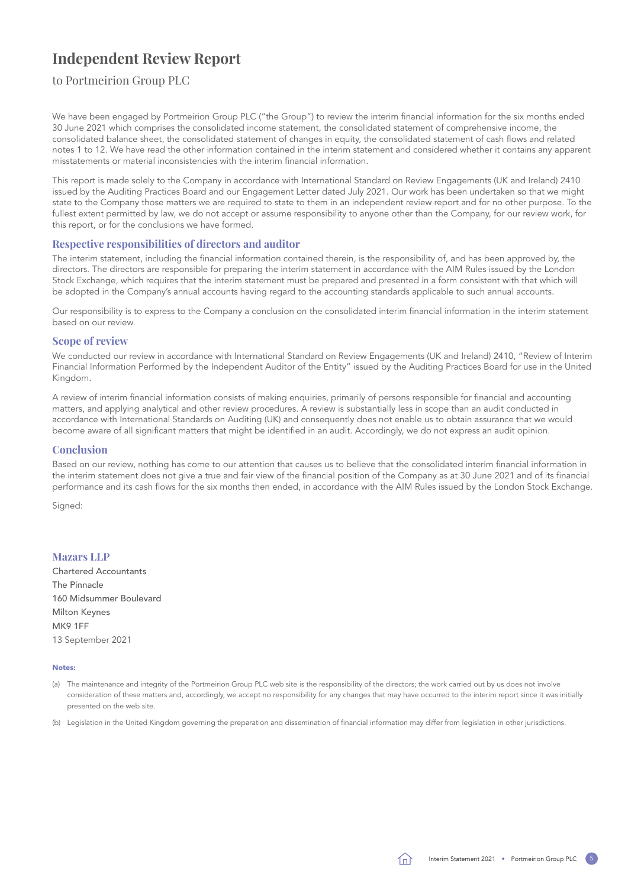# <span id="page-6-0"></span>**Independent Review Report**

to Portmeirion Group PLC

We have been engaged by Portmeirion Group PLC ("the Group") to review the interim financial information for the six months ended 30 June 2021 which comprises the consolidated income statement, the consolidated statement of comprehensive income, the consolidated balance sheet, the consolidated statement of changes in equity, the consolidated statement of cash flows and related [notes 1 to 12.](#page-12-0) We have read the other information contained in the interim statement and considered whether it contains any apparent misstatements or material inconsistencies with the interim financial information.

This report is made solely to the Company in accordance with International Standard on Review Engagements (UK and Ireland) 2410 issued by the Auditing Practices Board and our Engagement Letter dated July 2021. Our work has been undertaken so that we might state to the Company those matters we are required to state to them in an independent review report and for no other purpose. To the fullest extent permitted by law, we do not accept or assume responsibility to anyone other than the Company, for our review work, for this report, or for the conclusions we have formed.

### **Respective responsibilities of directors and auditor**

The interim statement, including the financial information contained therein, is the responsibility of, and has been approved by, the directors. The directors are responsible for preparing the interim statement in accordance with the AIM Rules issued by the London Stock Exchange, which requires that the interim statement must be prepared and presented in a form consistent with that which will be adopted in the Company's annual accounts having regard to the accounting standards applicable to such annual accounts.

Our responsibility is to express to the Company a conclusion on the consolidated interim financial information in the interim statement based on our review.

### **Scope of review**

We conducted our review in accordance with International Standard on Review Engagements (UK and Ireland) 2410, "Review of Interim Financial Information Performed by the Independent Auditor of the Entity" issued by the Auditing Practices Board for use in the United Kingdom.

A review of interim financial information consists of making enquiries, primarily of persons responsible for financial and accounting matters, and applying analytical and other review procedures. A review is substantially less in scope than an audit conducted in accordance with International Standards on Auditing (UK) and consequently does not enable us to obtain assurance that we would become aware of all significant matters that might be identified in an audit. Accordingly, we do not express an audit opinion.

### **Conclusion**

Based on our review, nothing has come to our attention that causes us to believe that the consolidated interim financial information in the interim statement does not give a true and fair view of the financial position of the Company as at 30 June 2021 and of its financial performance and its cash flows for the six months then ended, in accordance with the AIM Rules issued by the London Stock Exchange.

Signed:

### **Mazars LLP**

Chartered Accountants The Pinnacle 160 Midsummer Boulevard Milton Keynes MK9 1FF 13 September 2021

### Notes:

(a) The maintenance and integrity of the Portmeirion Group PLC web site is the responsibility of the directors; the work carried out by us does not involve consideration of these matters and, accordingly, we accept no responsibility for any changes that may have occurred to the interim report since it was initially presented on the web site.

(b) Legislation in the United Kingdom governing the preparation and dissemination of financial information may differ from legislation in other jurisdictions.

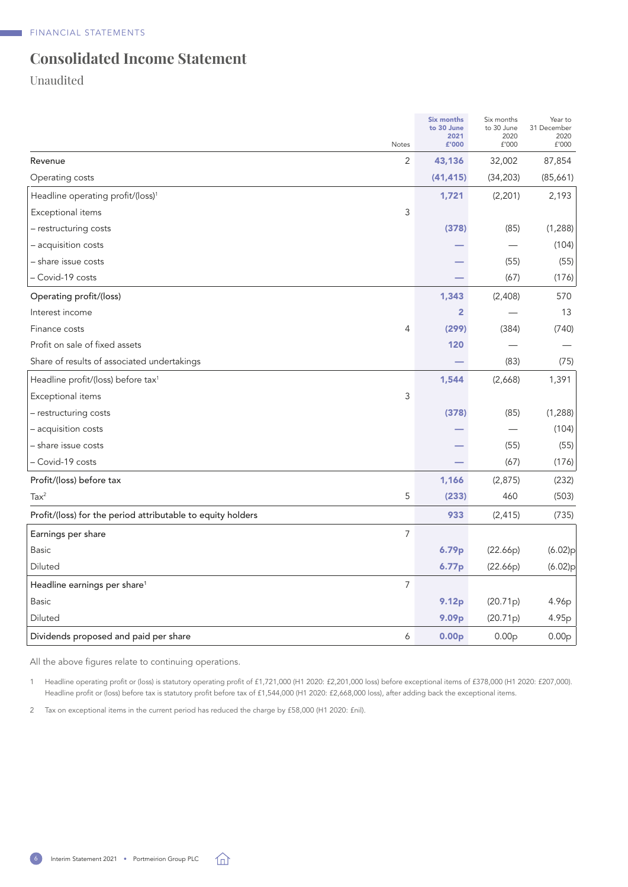# <span id="page-7-0"></span>**Consolidated Income Statement**

Unaudited

| Notes                                                       | <b>Six months</b><br>to 30 June<br>2021<br>£'000 | Six months<br>to 30 June<br>2020<br>£'000 | Year to<br>31 December<br>2020<br>£'000 |
|-------------------------------------------------------------|--------------------------------------------------|-------------------------------------------|-----------------------------------------|
| 2<br>Revenue                                                | 43,136                                           | 32,002                                    | 87,854                                  |
| Operating costs                                             | (41, 415)                                        | (34, 203)                                 | (85,661)                                |
| Headline operating profit/(loss) <sup>1</sup>               | 1,721                                            | (2, 201)                                  | 2,193                                   |
| Exceptional items<br>3                                      |                                                  |                                           |                                         |
| - restructuring costs                                       | (378)                                            | (85)                                      | (1, 288)                                |
| - acquisition costs                                         |                                                  |                                           | (104)                                   |
| - share issue costs                                         |                                                  | (55)                                      | (55)                                    |
| - Covid-19 costs                                            |                                                  | (67)                                      | (176)                                   |
| Operating profit/(loss)                                     | 1,343                                            | (2,408)                                   | 570                                     |
| Interest income                                             | $\overline{2}$                                   |                                           | 13                                      |
| 4<br>Finance costs                                          | (299)                                            | (384)                                     | (740)                                   |
| Profit on sale of fixed assets                              | 120                                              |                                           |                                         |
| Share of results of associated undertakings                 |                                                  | (83)                                      | (75)                                    |
| Headline profit/(loss) before tax <sup>1</sup>              | 1,544                                            | (2,668)                                   | 1,391                                   |
| 3<br>Exceptional items                                      |                                                  |                                           |                                         |
| - restructuring costs                                       | (378)                                            | (85)                                      | (1, 288)                                |
| – acquisition costs                                         |                                                  |                                           | (104)                                   |
| - share issue costs                                         |                                                  | (55)                                      | (55)                                    |
| - Covid-19 costs                                            |                                                  | (67)                                      | (176)                                   |
| Profit/(loss) before tax                                    | 1,166                                            | (2,875)                                   | (232)                                   |
| 5<br>Tax <sup>2</sup>                                       | (233)                                            | 460                                       | (503)                                   |
| Profit/(loss) for the period attributable to equity holders | 933                                              | (2, 415)                                  | (735)                                   |
| 7<br>Earnings per share                                     |                                                  |                                           |                                         |
| <b>Basic</b>                                                | 6.79p                                            | (22.66p)                                  | (6.02)p                                 |
| Diluted                                                     | 6.77p                                            | (22.66p)                                  | (6.02)p                                 |
| 7<br>Headline earnings per share <sup>1</sup>               |                                                  |                                           |                                         |
| <b>Basic</b>                                                | 9.12p                                            | (20.71p)                                  | 4.96p                                   |
| Diluted                                                     | 9.09p                                            | (20.71p)                                  | 4.95p                                   |
| Dividends proposed and paid per share<br>6                  | 0.00 <sub>p</sub>                                | 0.00 <sub>p</sub>                         | 0.00 <sub>p</sub>                       |

All the above figures relate to continuing operations.

1 Headline operating profit or (loss) is statutory operating profit of £1,721,000 (H1 2020: £2,201,000 loss) before exceptional items of £378,000 (H1 2020: £207,000). Headline profit or (loss) before tax is statutory profit before tax of £1,544,000 (H1 2020: £2,668,000 loss), after adding back the exceptional items.

2 Tax on exceptional items in the current period has reduced the charge by £58,000 (H1 2020: £nil).

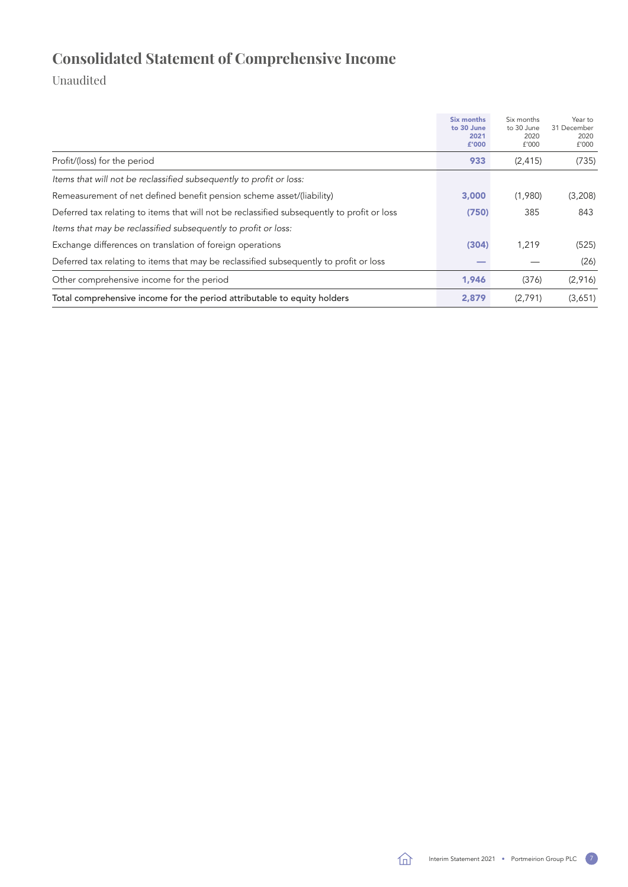# <span id="page-8-0"></span>**Consolidated Statement of Comprehensive Income**

|                                                                                             | Six months<br>to 30 June<br>2021<br>£'000 | Six months<br>to 30 June<br>2020<br>£'000 | Year to<br>31 December<br>2020<br>f'000 |
|---------------------------------------------------------------------------------------------|-------------------------------------------|-------------------------------------------|-----------------------------------------|
| Profit/(loss) for the period                                                                | 933                                       | (2, 415)                                  | (735)                                   |
| Items that will not be reclassified subsequently to profit or loss:                         |                                           |                                           |                                         |
| Remeasurement of net defined benefit pension scheme asset/(liability)                       | 3,000                                     | (1,980)                                   | (3,208)                                 |
| Deferred tax relating to items that will not be reclassified subsequently to profit or loss | (750)                                     | 385                                       | 843                                     |
| Items that may be reclassified subsequently to profit or loss:                              |                                           |                                           |                                         |
| Exchange differences on translation of foreign operations                                   | (304)                                     | 1,219                                     | (525)                                   |
| Deferred tax relating to items that may be reclassified subsequently to profit or loss      |                                           |                                           | (26)                                    |
| Other comprehensive income for the period                                                   | 1,946                                     | (376)                                     | (2,916)                                 |
| Total comprehensive income for the period attributable to equity holders                    | 2,879                                     | (2,791)                                   | (3,651)                                 |

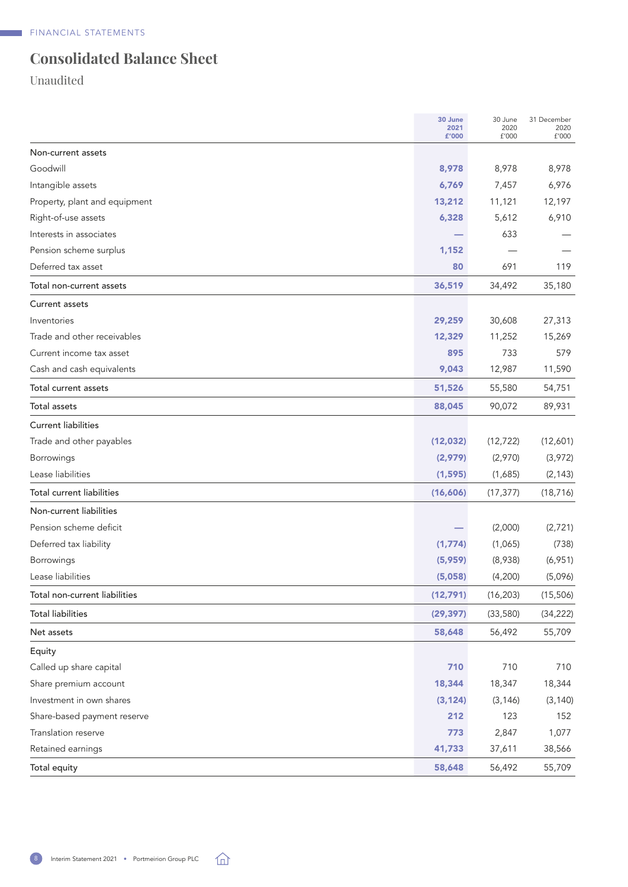# <span id="page-9-0"></span>**Consolidated Balance Sheet**

|                                  | 30 June<br>2021<br>£'000 | 30 June<br>2020<br>£'000 | 31 December<br>2020<br>£'000 |
|----------------------------------|--------------------------|--------------------------|------------------------------|
| Non-current assets               |                          |                          |                              |
| Goodwill                         | 8,978                    | 8,978                    | 8,978                        |
| Intangible assets                | 6,769                    | 7,457                    | 6,976                        |
| Property, plant and equipment    | 13,212                   | 11,121                   | 12,197                       |
| Right-of-use assets              | 6,328                    | 5,612                    | 6,910                        |
| Interests in associates          |                          | 633                      |                              |
| Pension scheme surplus           | 1,152                    |                          |                              |
| Deferred tax asset               | 80                       | 691                      | 119                          |
| Total non-current assets         | 36,519                   | 34,492                   | 35,180                       |
| Current assets                   |                          |                          |                              |
| Inventories                      | 29,259                   | 30,608                   | 27,313                       |
| Trade and other receivables      | 12,329                   | 11,252                   | 15,269                       |
| Current income tax asset         | 895                      | 733                      | 579                          |
| Cash and cash equivalents        | 9,043                    | 12,987                   | 11,590                       |
| Total current assets             | 51,526                   | 55,580                   | 54,751                       |
| Total assets                     | 88,045                   | 90,072                   | 89,931                       |
| <b>Current liabilities</b>       |                          |                          |                              |
| Trade and other payables         | (12, 032)                | (12, 722)                | (12,601)                     |
| Borrowings                       | (2,979)                  | (2,970)                  | (3,972)                      |
| Lease liabilities                | (1, 595)                 | (1,685)                  | (2, 143)                     |
| <b>Total current liabilities</b> | (16,606)                 | (17, 377)                | (18, 716)                    |
| Non-current liabilities          |                          |                          |                              |
| Pension scheme deficit           |                          | (2,000)                  | (2,721)                      |
| Deferred tax liability           | (1,774)                  | (1,065)                  | (738)                        |
| Borrowings                       | (5,959)                  | (8,938)                  | (6,951)                      |
| Lease liabilities                | (5,058)                  | (4,200)                  | (5,096)                      |
| Total non-current liabilities    | (12, 791)                | (16, 203)                | (15, 506)                    |
| <b>Total liabilities</b>         | (29, 397)                | (33,580)                 | (34, 222)                    |
| Net assets                       | 58,648                   | 56,492                   | 55,709                       |
| Equity                           |                          |                          |                              |
| Called up share capital          | 710                      | 710                      | 710                          |
| Share premium account            | 18,344                   | 18,347                   | 18,344                       |
| Investment in own shares         | (3, 124)                 | (3, 146)                 | (3, 140)                     |
| Share-based payment reserve      | 212                      | 123                      | 152                          |
| Translation reserve              | 773                      | 2,847                    | 1,077                        |
| Retained earnings                | 41,733                   | 37,611                   | 38,566                       |
| Total equity                     | 58,648                   | 56,492                   | 55,709                       |

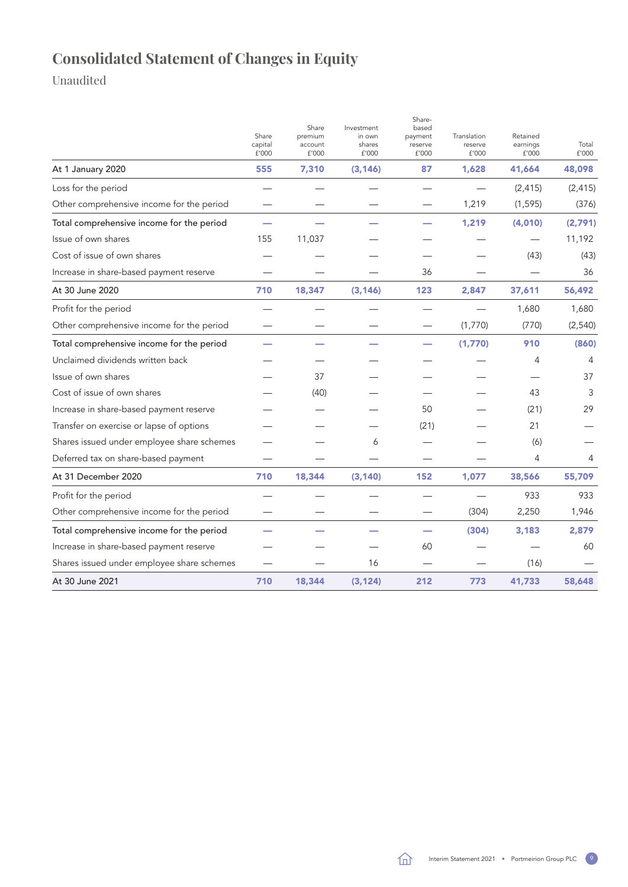# <span id="page-10-0"></span>**Consolidated Statement of Changes in Equity**

|                                            | Share<br>capital<br>£'000 | Share<br>premium<br>account<br>£'000 | Investment<br>in own<br>shares<br>£'000 | Share-<br>based<br>payment<br>reserve<br>£'000 | Translation<br>reserve<br>£'000 | Retained<br>earnings<br>£'000 | Total<br>£'000 |
|--------------------------------------------|---------------------------|--------------------------------------|-----------------------------------------|------------------------------------------------|---------------------------------|-------------------------------|----------------|
| At 1 January 2020                          | 555                       | 7,310                                | (3, 146)                                | 87                                             | 1,628                           | 41,664                        | 48,098         |
| Loss for the period                        |                           |                                      |                                         |                                                |                                 | (2, 415)                      | (2, 415)       |
| Other comprehensive income for the period  |                           |                                      |                                         |                                                | 1,219                           | (1, 595)                      | (376)          |
| Total comprehensive income for the period  | -                         |                                      |                                         |                                                | 1,219                           | (4,010)                       | (2,791)        |
| Issue of own shares                        | 155                       | 11,037                               |                                         |                                                |                                 |                               | 11,192         |
| Cost of issue of own shares                |                           |                                      |                                         |                                                |                                 | (43)                          | (43)           |
| Increase in share-based payment reserve    |                           |                                      |                                         | 36                                             |                                 |                               | 36             |
| At 30 June 2020                            | 710                       | 18,347                               | (3, 146)                                | 123                                            | 2,847                           | 37,611                        | 56,492         |
| Profit for the period                      |                           |                                      |                                         |                                                |                                 | 1,680                         | 1,680          |
| Other comprehensive income for the period  |                           |                                      |                                         |                                                | (1,770)                         | (770)                         | (2, 540)       |
| Total comprehensive income for the period  |                           |                                      |                                         |                                                | (1,770)                         | 910                           | (860)          |
| Unclaimed dividends written back           |                           |                                      |                                         |                                                |                                 | 4                             | 4              |
| Issue of own shares                        |                           | 37                                   |                                         |                                                |                                 |                               | 37             |
| Cost of issue of own shares                |                           | (40)                                 |                                         |                                                |                                 | 43                            | 3              |
| Increase in share-based payment reserve    |                           |                                      |                                         | 50                                             |                                 | (21)                          | 29             |
| Transfer on exercise or lapse of options   |                           |                                      |                                         | (21)                                           |                                 | 21                            |                |
| Shares issued under employee share schemes |                           |                                      | 6                                       |                                                |                                 | (6)                           |                |
| Deferred tax on share-based payment        |                           |                                      |                                         |                                                |                                 | 4                             | 4              |
| At 31 December 2020                        | 710                       | 18,344                               | (3, 140)                                | 152                                            | 1,077                           | 38,566                        | 55,709         |
| Profit for the period                      |                           |                                      |                                         |                                                |                                 | 933                           | 933            |
| Other comprehensive income for the period  |                           |                                      |                                         |                                                | (304)                           | 2,250                         | 1,946          |
| Total comprehensive income for the period  |                           |                                      |                                         |                                                | (304)                           | 3,183                         | 2,879          |
| Increase in share-based payment reserve    |                           |                                      |                                         | 60                                             |                                 |                               | 60             |
| Shares issued under employee share schemes |                           |                                      | 16                                      |                                                |                                 | (16)                          |                |
| At 30 June 2021                            | 710                       | 18,344                               | (3, 124)                                | 212                                            | 773                             | 41,733                        | 58,648         |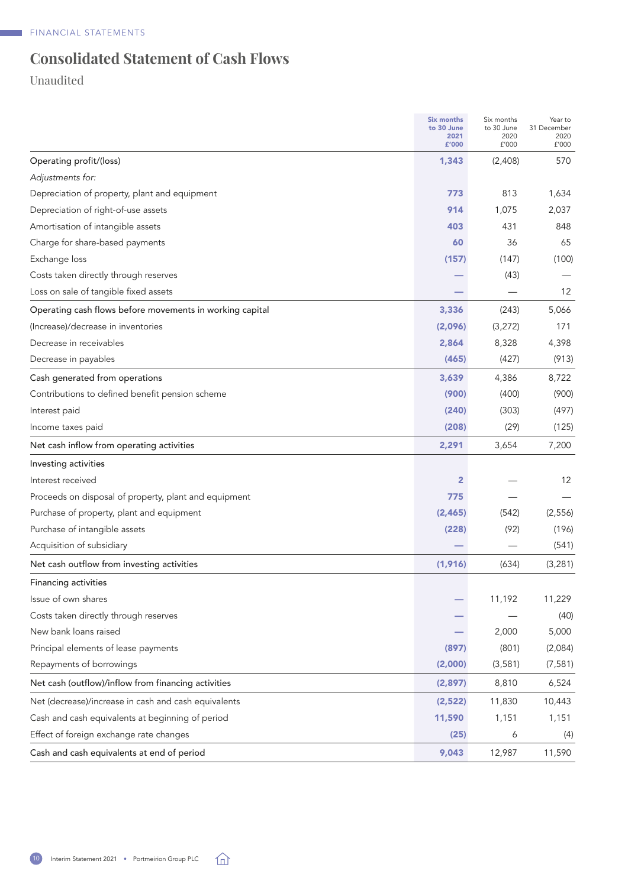# <span id="page-11-0"></span>**Consolidated Statement of Cash Flows**

|                                                          | Six months<br>to 30 June<br>2021<br>£'000 | Six months<br>to 30 June<br>2020<br>£'000 | Year to<br>31 December<br>2020<br>£'000 |
|----------------------------------------------------------|-------------------------------------------|-------------------------------------------|-----------------------------------------|
| Operating profit/(loss)                                  | 1,343                                     | (2,408)                                   | 570                                     |
| Adjustments for:                                         |                                           |                                           |                                         |
| Depreciation of property, plant and equipment            | 773                                       | 813                                       | 1,634                                   |
| Depreciation of right-of-use assets                      | 914                                       | 1,075                                     | 2,037                                   |
| Amortisation of intangible assets                        | 403                                       | 431                                       | 848                                     |
| Charge for share-based payments                          | 60                                        | 36                                        | 65                                      |
| Exchange loss                                            | (157)                                     | (147)                                     | (100)                                   |
| Costs taken directly through reserves                    |                                           | (43)                                      |                                         |
| Loss on sale of tangible fixed assets                    |                                           |                                           | 12                                      |
| Operating cash flows before movements in working capital | 3,336                                     | (243)                                     | 5,066                                   |
| (Increase)/decrease in inventories                       | (2,096)                                   | (3, 272)                                  | 171                                     |
| Decrease in receivables                                  | 2,864                                     | 8,328                                     | 4,398                                   |
| Decrease in payables                                     | (465)                                     | (427)                                     | (913)                                   |
| Cash generated from operations                           | 3,639                                     | 4,386                                     | 8,722                                   |
| Contributions to defined benefit pension scheme          | (900)                                     | (400)                                     | (900)                                   |
| Interest paid                                            | (240)                                     | (303)                                     | (497)                                   |
| Income taxes paid                                        | (208)                                     | (29)                                      | (125)                                   |
| Net cash inflow from operating activities                | 2,291                                     | 3,654                                     | 7,200                                   |
| Investing activities                                     |                                           |                                           |                                         |
| Interest received                                        | $\overline{2}$                            |                                           | 12                                      |
| Proceeds on disposal of property, plant and equipment    | 775                                       |                                           |                                         |
| Purchase of property, plant and equipment                | (2, 465)                                  | (542)                                     | (2, 556)                                |
| Purchase of intangible assets                            | (228)                                     | (92)                                      | (196)                                   |
| Acquisition of subsidiary                                |                                           |                                           | (541)                                   |
| Net cash outflow from investing activities               | (1, 916)                                  | (634)                                     | (3, 281)                                |
| <b>Financing activities</b>                              |                                           |                                           |                                         |
| Issue of own shares                                      |                                           | 11,192                                    | 11,229                                  |
| Costs taken directly through reserves                    |                                           |                                           | (40)                                    |
| New bank loans raised                                    |                                           | 2,000                                     | 5,000                                   |
| Principal elements of lease payments                     | (897)                                     | (801)                                     | (2,084)                                 |
| Repayments of borrowings                                 | (2,000)                                   | (3,581)                                   | (7, 581)                                |
| Net cash (outflow)/inflow from financing activities      | (2,897)                                   | 8,810                                     | 6,524                                   |
| Net (decrease)/increase in cash and cash equivalents     | (2,522)                                   | 11,830                                    | 10,443                                  |
| Cash and cash equivalents at beginning of period         | 11,590                                    | 1,151                                     | 1,151                                   |
| Effect of foreign exchange rate changes                  | (25)                                      | 6                                         | (4)                                     |
| Cash and cash equivalents at end of period               | 9,043                                     | 12,987                                    | 11,590                                  |

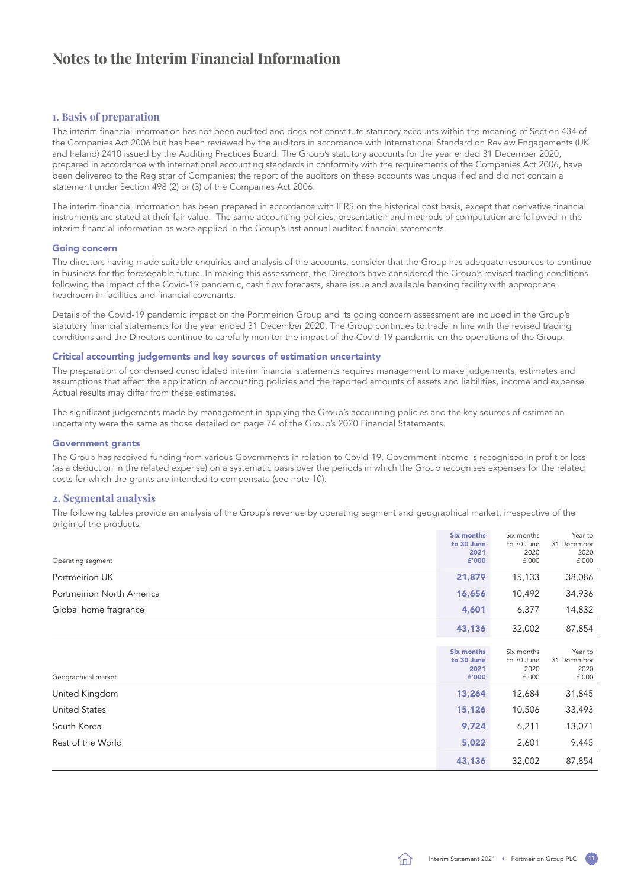# <span id="page-12-0"></span>**Notes to the Interim Financial Information**

### **1. Basis of preparation**

The interim financial information has not been audited and does not constitute statutory accounts within the meaning of Section 434 of the Companies Act 2006 but has been reviewed by the auditors in accordance with International Standard on Review Engagements (UK and Ireland) 2410 issued by the Auditing Practices Board. The Group's statutory accounts for the year ended 31 December 2020, prepared in accordance with international accounting standards in conformity with the requirements of the Companies Act 2006, have been delivered to the Registrar of Companies; the report of the auditors on these accounts was unqualified and did not contain a statement under Section 498 (2) or (3) of the Companies Act 2006.

The interim financial information has been prepared in accordance with IFRS on the historical cost basis, except that derivative financial instruments are stated at their fair value. The same accounting policies, presentation and methods of computation are followed in the interim financial information as were applied in the Group's last annual audited financial statements.

### Going concern

The directors having made suitable enquiries and analysis of the accounts, consider that the Group has adequate resources to continue in business for the foreseeable future. In making this assessment, the Directors have considered the Group's revised trading conditions following the impact of the Covid-19 pandemic, cash flow forecasts, share issue and available banking facility with appropriate headroom in facilities and financial covenants.

Details of the Covid-19 pandemic impact on the Portmeirion Group and its going concern assessment are included in the Group's statutory financial statements for the year ended 31 December 2020. The Group continues to trade in line with the revised trading conditions and the Directors continue to carefully monitor the impact of the Covid-19 pandemic on the operations of the Group.

### Critical accounting judgements and key sources of estimation uncertainty

The preparation of condensed consolidated interim financial statements requires management to make judgements, estimates and assumptions that affect the application of accounting policies and the reported amounts of assets and liabilities, income and expense. Actual results may differ from these estimates.

The significant judgements made by management in applying the Group's accounting policies and the key sources of estimation uncertainty were the same as those detailed on page 74 of the Group's 2020 Financial Statements.

### Government grants

The Group has received funding from various Governments in relation to Covid-19. Government income is recognised in profit or loss (as a deduction in the related expense) on a systematic basis over the periods in which the Group recognises expenses for the related costs for which the grants are intended to compensate (see [note 10](#page-14-0)).

### **2. Segmental analysis**

The following tables provide an analysis of the Group's revenue by operating segment and geographical market, irrespective of the origin of the products:

| Operating segment         | <b>Six months</b><br>to 30 June<br>2021<br>£'000 | Six months<br>to 30 June<br>2020<br>£'000 | Year to<br>31 December<br>2020<br>f'000 |
|---------------------------|--------------------------------------------------|-------------------------------------------|-----------------------------------------|
| Portmeirion UK            | 21,879                                           | 15,133                                    | 38,086                                  |
| Portmeirion North America | 16,656                                           | 10,492                                    | 34,936                                  |
| Global home fragrance     | 4,601                                            | 6,377                                     | 14,832                                  |
|                           | 43,136                                           | 32,002                                    | 87,854                                  |
| Geographical market       | <b>Six months</b><br>to 30 June<br>2021<br>£'000 | Six months<br>to 30 June<br>2020<br>f'000 | Year to<br>31 December<br>2020<br>f'000 |
| United Kingdom            | 13,264                                           | 12,684                                    | 31,845                                  |
| <b>United States</b>      | 15,126                                           | 10,506                                    | 33,493                                  |
| South Korea               | 9,724                                            | 6,211                                     | 13,071                                  |
| Rest of the World         | 5,022                                            | 2,601                                     | 9,445                                   |
|                           | 43,136                                           | 32,002                                    | 87,854                                  |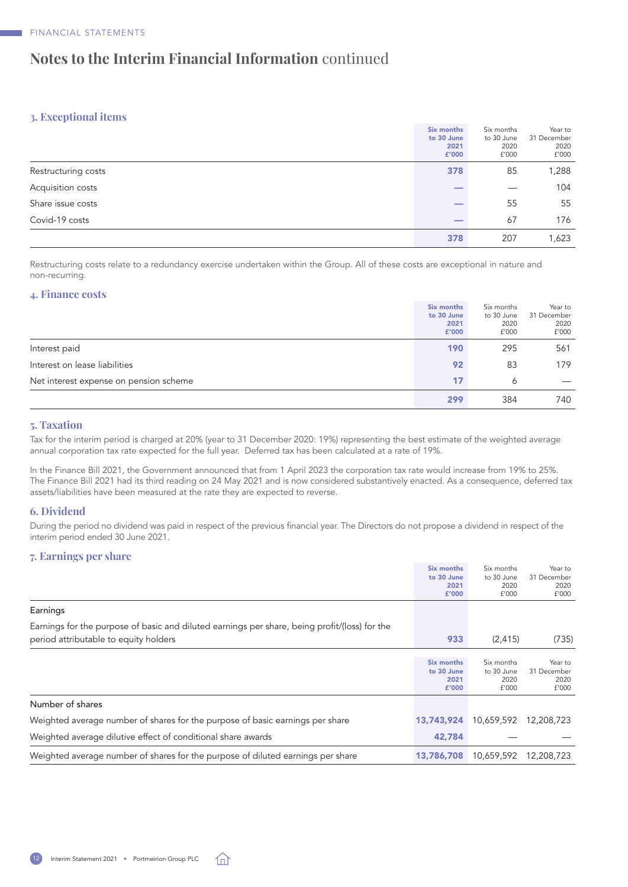# <span id="page-13-0"></span>**Notes to the Interim Financial Information** continued

### **3. Exceptional items**

|                     | Six months<br>to 30 June<br>2021<br>£'000 | Six months<br>to 30 June<br>2020<br>f'000 | Year to<br>31 December<br>2020<br>f'000 |
|---------------------|-------------------------------------------|-------------------------------------------|-----------------------------------------|
| Restructuring costs | 378                                       | 85                                        | 1,288                                   |
| Acquisition costs   |                                           |                                           | 104                                     |
| Share issue costs   |                                           | 55                                        | 55                                      |
| Covid-19 costs      |                                           | 67                                        | 176                                     |
|                     | 378                                       | 207                                       | 1,623                                   |

Restructuring costs relate to a redundancy exercise undertaken within the Group. All of these costs are exceptional in nature and non-recurring.

### **4. Finance costs**

|                                        | Six months | Six months | Year to     |
|----------------------------------------|------------|------------|-------------|
|                                        | to 30 June | to 30 June | 31 December |
|                                        | 2021       | 2020       | 2020        |
|                                        | £'000      | f'000      | f'000       |
| Interest paid                          | 190        | 295        | 561         |
| Interest on lease liabilities          | 92         | 83         | 179         |
| Net interest expense on pension scheme | 17         | 6          |             |
|                                        | 299        | 384        | 740         |

### **5. Taxation**

Tax for the interim period is charged at 20% (year to 31 December 2020: 19%) representing the best estimate of the weighted average annual corporation tax rate expected for the full year. Deferred tax has been calculated at a rate of 19%.

In the Finance Bill 2021, the Government announced that from 1 April 2023 the corporation tax rate would increase from 19% to 25%. The Finance Bill 2021 had its third reading on 24 May 2021 and is now considered substantively enacted. As a consequence, deferred tax assets/liabilities have been measured at the rate they are expected to reverse.

### **6. Dividend**

During the period no dividend was paid in respect of the previous financial year. The Directors do not propose a dividend in respect of the interim period ended 30 June 2021.

### **7. Earnings per share**

|                                                                                                                                        | Six months<br>to 30 June<br>2021<br>£'000 | Six months<br>to 30 June<br>2020<br>f'000 | Year to<br>31 December<br>2020<br>f'000 |
|----------------------------------------------------------------------------------------------------------------------------------------|-------------------------------------------|-------------------------------------------|-----------------------------------------|
| Earnings                                                                                                                               |                                           |                                           |                                         |
| Earnings for the purpose of basic and diluted earnings per share, being profit/(loss) for the<br>period attributable to equity holders | 933                                       | (2, 415)                                  | (735)                                   |
|                                                                                                                                        | Six months<br>to 30 June<br>2021<br>£'000 | Six months<br>to 30 June<br>2020<br>f'000 | Year to<br>31 December<br>2020<br>f'000 |
| Number of shares                                                                                                                       |                                           |                                           |                                         |
| Weighted average number of shares for the purpose of basic earnings per share                                                          | 13,743,924                                | 10,659,592                                | 12,208,723                              |
| Weighted average dilutive effect of conditional share awards                                                                           | 42,784                                    |                                           |                                         |
| Weighted average number of shares for the purpose of diluted earnings per share                                                        | 13,786,708                                | 10,659,592                                | 12,208,723                              |

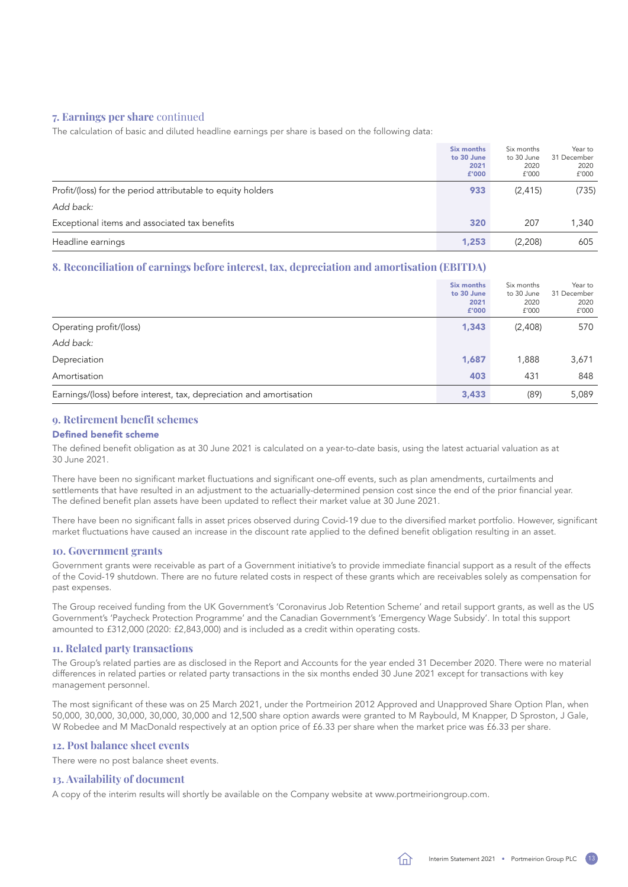### <span id="page-14-0"></span>**7. Earnings per share** continued

The calculation of basic and diluted headline earnings per share is based on the following data:

|                                                             | Six months<br>to 30 June<br>2021<br>£'000 | Six months<br>to 30 June<br>2020<br>f'000 | Year to<br>31 December<br>2020<br>f'000 |
|-------------------------------------------------------------|-------------------------------------------|-------------------------------------------|-----------------------------------------|
| Profit/(loss) for the period attributable to equity holders | 933                                       | (2, 415)                                  | (735)                                   |
| Add back:                                                   |                                           |                                           |                                         |
| Exceptional items and associated tax benefits               | 320                                       | 207                                       | 1.340                                   |
| Headline earnings                                           | 1,253                                     | (2,208)                                   | 605                                     |

### **8. Reconciliation of earnings before interest, tax, depreciation and amortisation (EBITDA)**

|                                                                     | <b>Six months</b><br>to 30 June<br>2021<br>£'000 | Six months<br>to 30 June<br>2020<br>£'000 | Year to<br>31 December<br>2020<br>f'000 |
|---------------------------------------------------------------------|--------------------------------------------------|-------------------------------------------|-----------------------------------------|
| Operating profit/(loss)                                             | 1,343                                            | (2,408)                                   | 570                                     |
| Add back:                                                           |                                                  |                                           |                                         |
| Depreciation                                                        | 1,687                                            | 1,888                                     | 3,671                                   |
| Amortisation                                                        | 403                                              | 431                                       | 848                                     |
| Earnings/(loss) before interest, tax, depreciation and amortisation | 3,433                                            | (89)                                      | 5,089                                   |

### **9. Retirement benefit schemes**

### Defined benefit scheme

The defined benefit obligation as at 30 June 2021 is calculated on a year-to-date basis, using the latest actuarial valuation as at 30 June 2021.

There have been no significant market fluctuations and significant one-off events, such as plan amendments, curtailments and settlements that have resulted in an adjustment to the actuarially-determined pension cost since the end of the prior financial year. The defined benefit plan assets have been updated to reflect their market value at 30 June 2021.

There have been no significant falls in asset prices observed during Covid-19 due to the diversified market portfolio. However, significant market fluctuations have caused an increase in the discount rate applied to the defined benefit obligation resulting in an asset.

### **10. Government grants**

Government grants were receivable as part of a Government initiative's to provide immediate financial support as a result of the effects of the Covid-19 shutdown. There are no future related costs in respect of these grants which are receivables solely as compensation for past expenses.

The Group received funding from the UK Government's 'Coronavirus Job Retention Scheme' and retail support grants, as well as the US Government's 'Paycheck Protection Programme' and the Canadian Government's 'Emergency Wage Subsidy'. In total this support amounted to £312,000 (2020: £2,843,000) and is included as a credit within operating costs.

### **11. Related party transactions**

The Group's related parties are as disclosed in the Report and Accounts for the year ended 31 December 2020. There were no material differences in related parties or related party transactions in the six months ended 30 June 2021 except for transactions with key management personnel.

The most significant of these was on 25 March 2021, under the Portmeirion 2012 Approved and Unapproved Share Option Plan, when 50,000, 30,000, 30,000, 30,000, 30,000 and 12,500 share option awards were granted to M Raybould, M Knapper, D Sproston, J Gale, W Robedee and M MacDonald respectively at an option price of £6.33 per share when the market price was £6.33 per share.

### **12. Post balance sheet events**

There were no post balance sheet events.

### **13. Availability of document**

A copy of the interim results will shortly be available on the Company website at [www.portmeiriongroup.com](http://www.portmeiriongroup.com).